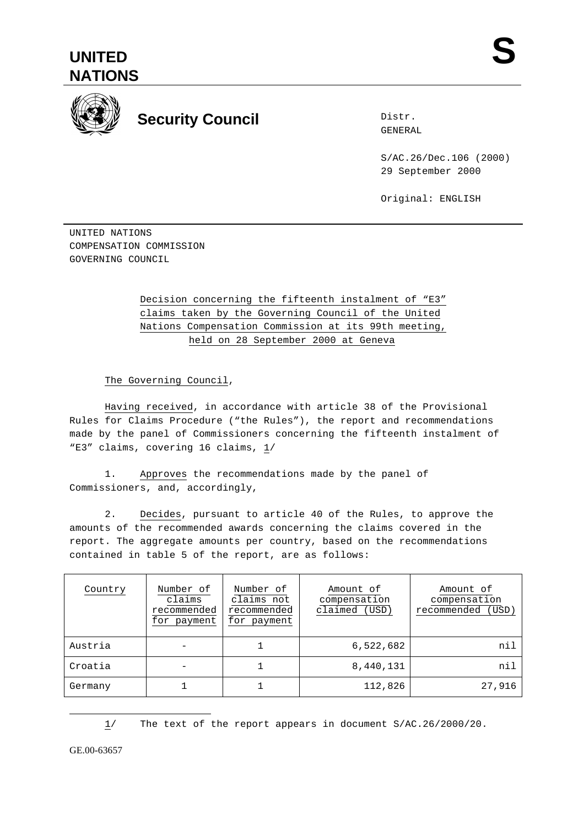



## **Security Council**

Distr. GENERAL

S/AC.26/Dec.106 (2000) 29 September 2000

Original: ENGLISH

UNITED NATIONS COMPENSATION COMMISSION GOVERNING COUNCIL

## Decision concerning the fifteenth instalment of "E3" claims taken by the Governing Council of the United Nations Compensation Commission at its 99th meeting, held on 28 September 2000 at Geneva

The Governing Council,

Having received, in accordance with article 38 of the Provisional Rules for Claims Procedure ("the Rules"), the report and recommendations made by the panel of Commissioners concerning the fifteenth instalment of "E3" claims, covering 16 claims, 1/

1. Approves the recommendations made by the panel of Commissioners, and, accordingly,

2. Decides, pursuant to article 40 of the Rules, to approve the amounts of the recommended awards concerning the claims covered in the report. The aggregate amounts per country, based on the recommendations contained in table 5 of the report, are as follows:

| Country | Number of<br>claims<br>recommended<br>for payment | Number of<br>claims not<br>recommended<br>for payment | Amount of<br>compensation<br>claimed (USD) | Amount of<br>compensation<br>recommended (USD) |
|---------|---------------------------------------------------|-------------------------------------------------------|--------------------------------------------|------------------------------------------------|
| Austria |                                                   |                                                       | 6,522,682                                  | nil                                            |
| Croatia |                                                   |                                                       | 8,440,131                                  | nil                                            |
| Germany |                                                   |                                                       | 112,826                                    | 27,916                                         |

1/ The text of the report appears in document S/AC.26/2000/20.

GE.00-63657

 $\overline{a}$